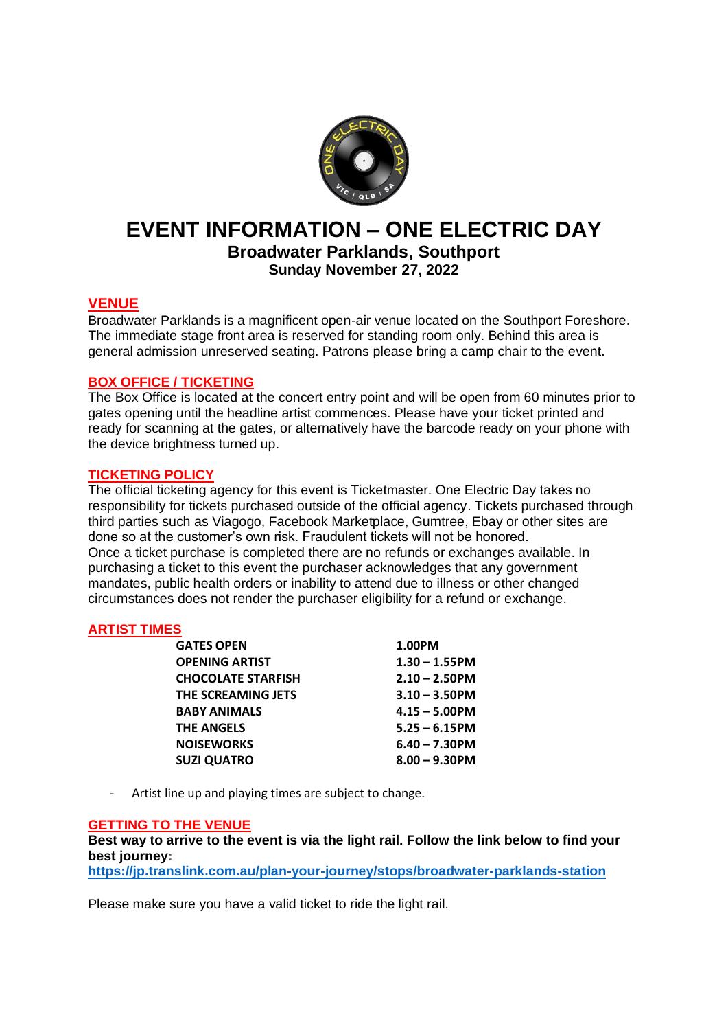

# **EVENT INFORMATION – ONE ELECTRIC DAY**

**Broadwater Parklands, Southport Sunday November 27, 2022**

# **VENUE**

Broadwater Parklands is a magnificent open-air venue located on the Southport Foreshore. The immediate stage front area is reserved for standing room only. Behind this area is general admission unreserved seating. Patrons please bring a camp chair to the event.

# **BOX OFFICE / TICKETING**

The Box Office is located at the concert entry point and will be open from 60 minutes prior to gates opening until the headline artist commences. Please have your ticket printed and ready for scanning at the gates, or alternatively have the barcode ready on your phone with the device brightness turned up.

# **TICKETING POLICY**

The official ticketing agency for this event is Ticketmaster. One Electric Day takes no responsibility for tickets purchased outside of the official agency. Tickets purchased through third parties such as Viagogo, Facebook Marketplace, Gumtree, Ebay or other sites are done so at the customer's own risk. Fraudulent tickets will not be honored. Once a ticket purchase is completed there are no refunds or exchanges available. In purchasing a ticket to this event the purchaser acknowledges that any government mandates, public health orders or inability to attend due to illness or other changed circumstances does not render the purchaser eligibility for a refund or exchange.

# **ARTIST TIMES**

| <b>GATES OPEN</b>         | 1.00PM           |
|---------------------------|------------------|
| <b>OPENING ARTIST</b>     | $1.30 - 1.55$ PM |
| <b>CHOCOLATE STARFISH</b> | $2.10 - 2.50$ PM |
| THE SCREAMING JETS        | $3.10 - 3.50$ PM |
| <b>BABY ANIMALS</b>       | $4.15 - 5.00$ PM |
| <b>THE ANGELS</b>         | $5.25 - 6.15$ PM |
| <b>NOISEWORKS</b>         | $6.40 - 7.30$ PM |
| <b>SUZI QUATRO</b>        | $8.00 - 9.30$ PM |
|                           |                  |

- Artist line up and playing times are subject to change.

# **GETTING TO THE VENUE**

**Best way to arrive to the event is via the light rail. Follow the link below to find your best journey:**

**<https://jp.translink.com.au/plan-your-journey/stops/broadwater-parklands-station>**

Please make sure you have a valid ticket to ride the light rail.